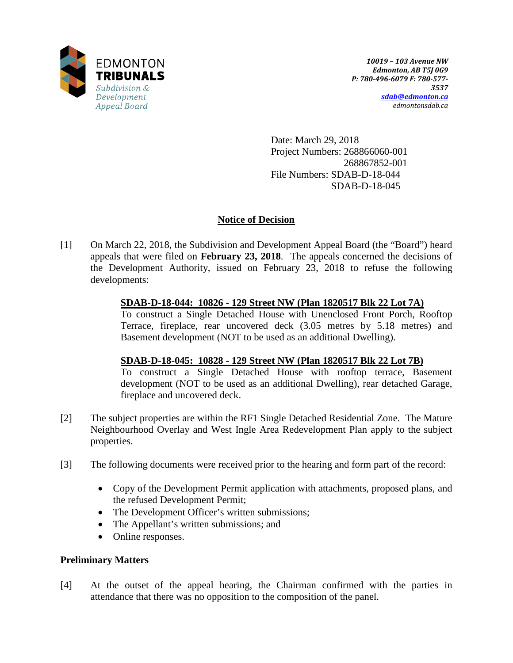

Date: March 29, 2018 Project Numbers: 268866060-001 268867852-001 File Numbers: SDAB-D-18-044 SDAB-D-18-045

# **Notice of Decision**

[1] On March 22, 2018, the Subdivision and Development Appeal Board (the "Board") heard appeals that were filed on **February 23, 2018**. The appeals concerned the decisions of the Development Authority, issued on February 23, 2018 to refuse the following developments:

# **SDAB-D-18-044: 10826 - 129 Street NW (Plan 1820517 Blk 22 Lot 7A)**

To construct a Single Detached House with Unenclosed Front Porch, Rooftop Terrace, fireplace, rear uncovered deck (3.05 metres by 5.18 metres) and Basement development (NOT to be used as an additional Dwelling).

## **SDAB-D-18-045: 10828 - 129 Street NW (Plan 1820517 Blk 22 Lot 7B)**

To construct a Single Detached House with rooftop terrace, Basement development (NOT to be used as an additional Dwelling), rear detached Garage, fireplace and uncovered deck.

- [2] The subject properties are within the RF1 Single Detached Residential Zone. The Mature Neighbourhood Overlay and West Ingle Area Redevelopment Plan apply to the subject properties.
- [3] The following documents were received prior to the hearing and form part of the record:
	- Copy of the Development Permit application with attachments, proposed plans, and the refused Development Permit;
	- The Development Officer's written submissions;
	- The Appellant's written submissions; and
	- Online responses.

# **Preliminary Matters**

[4] At the outset of the appeal hearing, the Chairman confirmed with the parties in attendance that there was no opposition to the composition of the panel.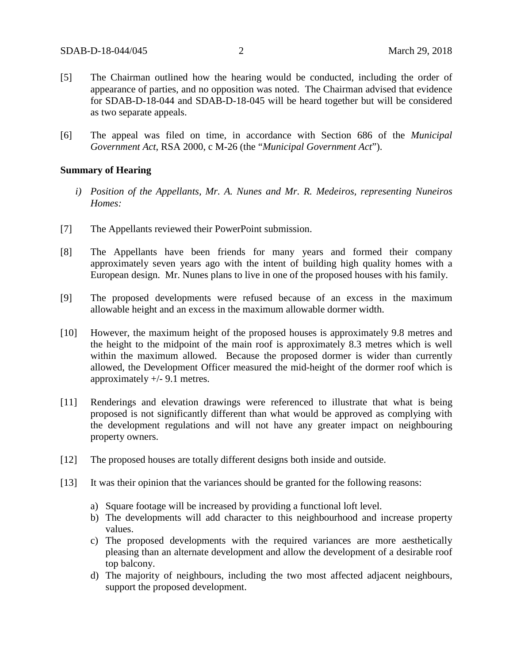- [5] The Chairman outlined how the hearing would be conducted, including the order of appearance of parties, and no opposition was noted. The Chairman advised that evidence for SDAB-D-18-044 and SDAB-D-18-045 will be heard together but will be considered as two separate appeals.
- [6] The appeal was filed on time, in accordance with Section 686 of the *Municipal Government Act*, RSA 2000, c M-26 (the "*Municipal Government Act*").

### **Summary of Hearing**

- *i) Position of the Appellants, Mr. A. Nunes and Mr. R. Medeiros, representing Nuneiros Homes:*
- [7] The Appellants reviewed their PowerPoint submission.
- [8] The Appellants have been friends for many years and formed their company approximately seven years ago with the intent of building high quality homes with a European design. Mr. Nunes plans to live in one of the proposed houses with his family.
- [9] The proposed developments were refused because of an excess in the maximum allowable height and an excess in the maximum allowable dormer width.
- [10] However, the maximum height of the proposed houses is approximately 9.8 metres and the height to the midpoint of the main roof is approximately 8.3 metres which is well within the maximum allowed. Because the proposed dormer is wider than currently allowed, the Development Officer measured the mid-height of the dormer roof which is approximately +/- 9.1 metres.
- [11] Renderings and elevation drawings were referenced to illustrate that what is being proposed is not significantly different than what would be approved as complying with the development regulations and will not have any greater impact on neighbouring property owners.
- [12] The proposed houses are totally different designs both inside and outside.
- [13] It was their opinion that the variances should be granted for the following reasons:
	- a) Square footage will be increased by providing a functional loft level.
	- b) The developments will add character to this neighbourhood and increase property values.
	- c) The proposed developments with the required variances are more aesthetically pleasing than an alternate development and allow the development of a desirable roof top balcony.
	- d) The majority of neighbours, including the two most affected adjacent neighbours, support the proposed development.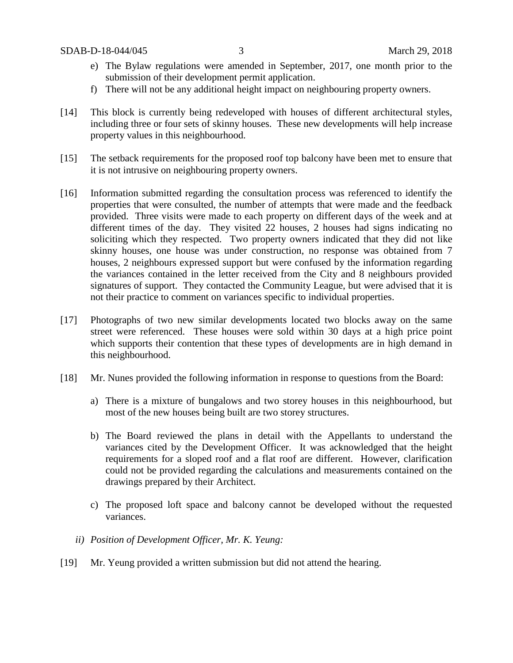- e) The Bylaw regulations were amended in September, 2017, one month prior to the submission of their development permit application.
- f) There will not be any additional height impact on neighbouring property owners.
- [14] This block is currently being redeveloped with houses of different architectural styles, including three or four sets of skinny houses. These new developments will help increase property values in this neighbourhood.
- [15] The setback requirements for the proposed roof top balcony have been met to ensure that it is not intrusive on neighbouring property owners.
- [16] Information submitted regarding the consultation process was referenced to identify the properties that were consulted, the number of attempts that were made and the feedback provided. Three visits were made to each property on different days of the week and at different times of the day. They visited 22 houses, 2 houses had signs indicating no soliciting which they respected. Two property owners indicated that they did not like skinny houses, one house was under construction, no response was obtained from 7 houses, 2 neighbours expressed support but were confused by the information regarding the variances contained in the letter received from the City and 8 neighbours provided signatures of support. They contacted the Community League, but were advised that it is not their practice to comment on variances specific to individual properties.
- [17] Photographs of two new similar developments located two blocks away on the same street were referenced. These houses were sold within 30 days at a high price point which supports their contention that these types of developments are in high demand in this neighbourhood.
- [18] Mr. Nunes provided the following information in response to questions from the Board:
	- a) There is a mixture of bungalows and two storey houses in this neighbourhood, but most of the new houses being built are two storey structures.
	- b) The Board reviewed the plans in detail with the Appellants to understand the variances cited by the Development Officer. It was acknowledged that the height requirements for a sloped roof and a flat roof are different. However, clarification could not be provided regarding the calculations and measurements contained on the drawings prepared by their Architect.
	- c) The proposed loft space and balcony cannot be developed without the requested variances.
	- *ii) Position of Development Officer, Mr. K. Yeung:*
- [19] Mr. Yeung provided a written submission but did not attend the hearing.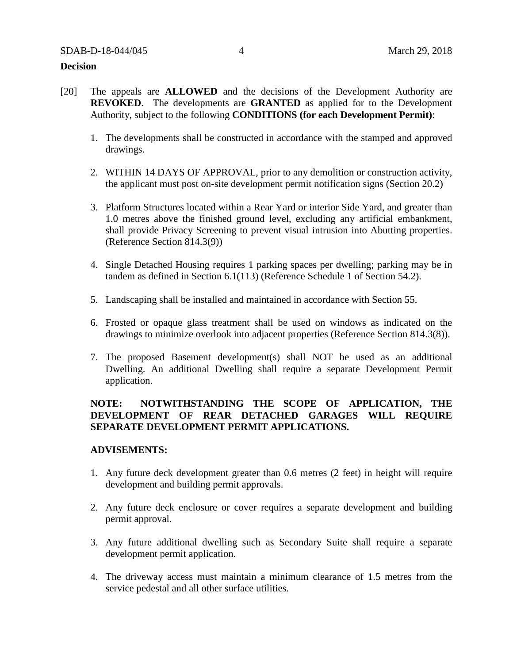### **Decision**

- [20] The appeals are **ALLOWED** and the decisions of the Development Authority are **REVOKED**. The developments are **GRANTED** as applied for to the Development Authority, subject to the following **CONDITIONS (for each Development Permit)**:
	- 1. The developments shall be constructed in accordance with the stamped and approved drawings.
	- 2. WITHIN 14 DAYS OF APPROVAL, prior to any demolition or construction activity, the applicant must post on-site development permit notification signs (Section 20.2)
	- 3. Platform Structures located within a Rear Yard or interior Side Yard, and greater than 1.0 metres above the finished ground level, excluding any artificial embankment, shall provide Privacy Screening to prevent visual intrusion into Abutting properties. (Reference Section 814.3(9))
	- 4. Single Detached Housing requires 1 parking spaces per dwelling; parking may be in tandem as defined in Section 6.1(113) (Reference Schedule 1 of Section 54.2).
	- 5. Landscaping shall be installed and maintained in accordance with Section 55.
	- 6. Frosted or opaque glass treatment shall be used on windows as indicated on the drawings to minimize overlook into adjacent properties (Reference Section 814.3(8)).
	- 7. The proposed Basement development(s) shall NOT be used as an additional Dwelling. An additional Dwelling shall require a separate Development Permit application.

# **NOTE: NOTWITHSTANDING THE SCOPE OF APPLICATION, THE DEVELOPMENT OF REAR DETACHED GARAGES WILL REQUIRE SEPARATE DEVELOPMENT PERMIT APPLICATIONS.**

### **ADVISEMENTS:**

- 1. Any future deck development greater than 0.6 metres (2 feet) in height will require development and building permit approvals.
- 2. Any future deck enclosure or cover requires a separate development and building permit approval.
- 3. Any future additional dwelling such as Secondary Suite shall require a separate development permit application.
- 4. The driveway access must maintain a minimum clearance of 1.5 metres from the service pedestal and all other surface utilities.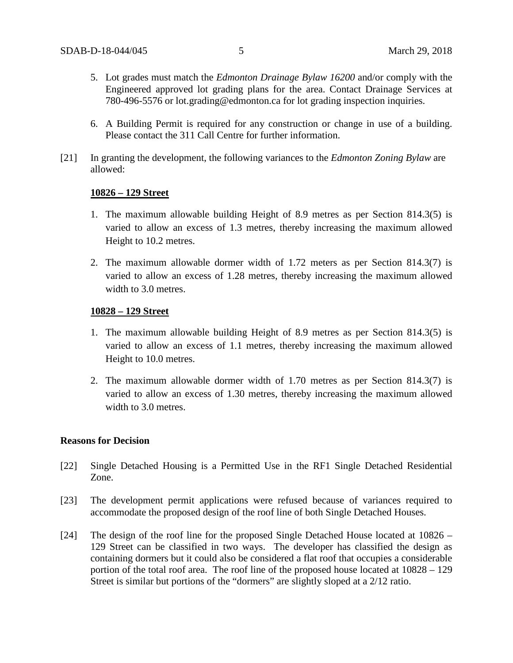- 5. Lot grades must match the *Edmonton Drainage Bylaw 16200* and/or comply with the Engineered approved lot grading plans for the area. Contact Drainage Services at 780-496-5576 or lot.grading@edmonton.ca for lot grading inspection inquiries.
- 6. A Building Permit is required for any construction or change in use of a building. Please contact the 311 Call Centre for further information.
- [21] In granting the development, the following variances to the *Edmonton Zoning Bylaw* are allowed:

#### **10826 – 129 Street**

- 1. The maximum allowable building Height of 8.9 metres as per Section 814.3(5) is varied to allow an excess of 1.3 metres, thereby increasing the maximum allowed Height to 10.2 metres.
- 2. The maximum allowable dormer width of 1.72 meters as per Section 814.3(7) is varied to allow an excess of 1.28 metres, thereby increasing the maximum allowed width to 3.0 metres.

#### **10828 – 129 Street**

- 1. The maximum allowable building Height of 8.9 metres as per Section 814.3(5) is varied to allow an excess of 1.1 metres, thereby increasing the maximum allowed Height to 10.0 metres.
- 2. The maximum allowable dormer width of 1.70 metres as per Section 814.3(7) is varied to allow an excess of 1.30 metres, thereby increasing the maximum allowed width to 3.0 metres.

#### **Reasons for Decision**

- [22] Single Detached Housing is a Permitted Use in the RF1 Single Detached Residential Zone.
- [23] The development permit applications were refused because of variances required to accommodate the proposed design of the roof line of both Single Detached Houses.
- [24] The design of the roof line for the proposed Single Detached House located at 10826 129 Street can be classified in two ways. The developer has classified the design as containing dormers but it could also be considered a flat roof that occupies a considerable portion of the total roof area. The roof line of the proposed house located at 10828 – 129 Street is similar but portions of the "dormers" are slightly sloped at a 2/12 ratio.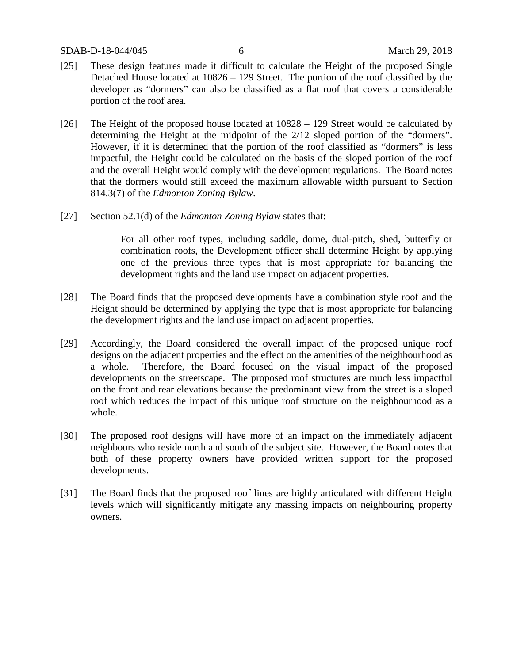SDAB-D-18-044/045 6 March 29, 2018

- [25] These design features made it difficult to calculate the Height of the proposed Single Detached House located at 10826 – 129 Street. The portion of the roof classified by the developer as "dormers" can also be classified as a flat roof that covers a considerable portion of the roof area.
- [26] The Height of the proposed house located at 10828 129 Street would be calculated by determining the Height at the midpoint of the 2/12 sloped portion of the "dormers". However, if it is determined that the portion of the roof classified as "dormers" is less impactful, the Height could be calculated on the basis of the sloped portion of the roof and the overall Height would comply with the development regulations. The Board notes that the dormers would still exceed the maximum allowable width pursuant to Section 814.3(7) of the *Edmonton Zoning Bylaw*.
- [27] Section 52.1(d) of the *Edmonton Zoning Bylaw* states that:

For all other roof types, including saddle, dome, dual-pitch, shed, butterfly or combination roofs, the Development officer shall determine Height by applying one of the previous three types that is most appropriate for balancing the development rights and the land use impact on adjacent properties.

- [28] The Board finds that the proposed developments have a combination style roof and the Height should be determined by applying the type that is most appropriate for balancing the development rights and the land use impact on adjacent properties.
- [29] Accordingly, the Board considered the overall impact of the proposed unique roof designs on the adjacent properties and the effect on the amenities of the neighbourhood as a whole. Therefore, the Board focused on the visual impact of the proposed developments on the streetscape. The proposed roof structures are much less impactful on the front and rear elevations because the predominant view from the street is a sloped roof which reduces the impact of this unique roof structure on the neighbourhood as a whole.
- [30] The proposed roof designs will have more of an impact on the immediately adjacent neighbours who reside north and south of the subject site. However, the Board notes that both of these property owners have provided written support for the proposed developments.
- [31] The Board finds that the proposed roof lines are highly articulated with different Height levels which will significantly mitigate any massing impacts on neighbouring property owners.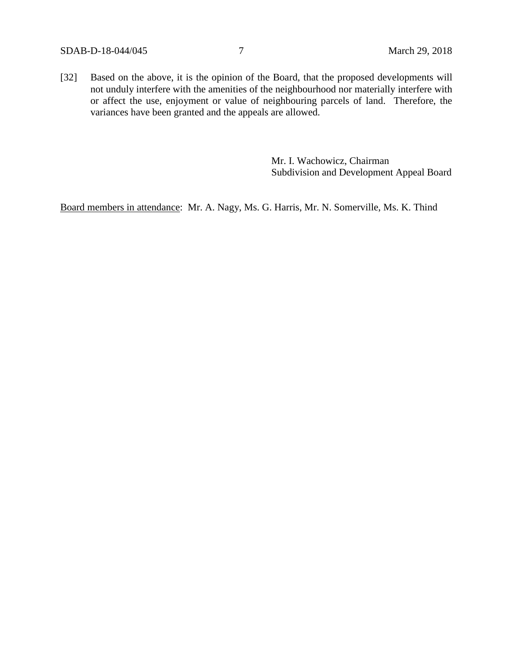[32] Based on the above, it is the opinion of the Board, that the proposed developments will not unduly interfere with the amenities of the neighbourhood nor materially interfere with or affect the use, enjoyment or value of neighbouring parcels of land. Therefore, the variances have been granted and the appeals are allowed.

> Mr. I. Wachowicz, Chairman Subdivision and Development Appeal Board

Board members in attendance: Mr. A. Nagy, Ms. G. Harris, Mr. N. Somerville, Ms. K. Thind